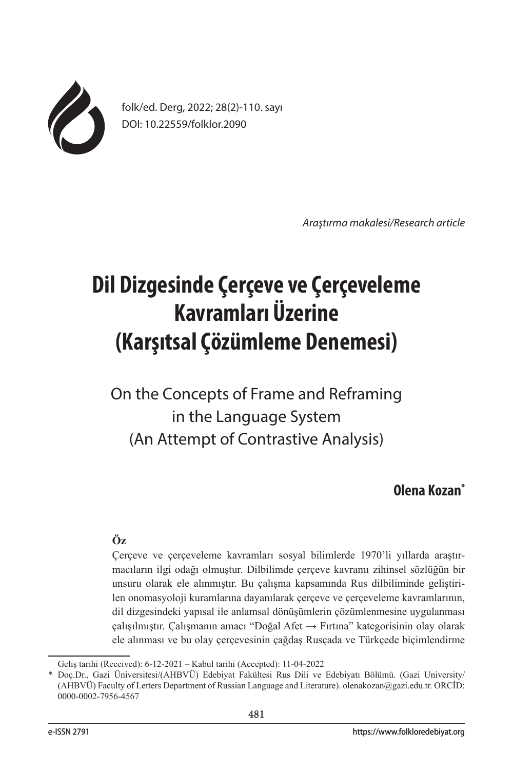

folk/ed. Derg, 2022; 28(2)-110. sayı DOI: 10.22559/folklor.2090

*Araştırma makalesi/Research article*

# **Dil Dizgesinde Çerçeve ve Çerçeveleme Kavramları Üzerine (Karşıtsal Çözümleme Denemesi)**

On the Concepts of Frame and Reframing in the Language System (An Attempt of Contrastive Analysis)

## **Olena Kozan\***

## **Öz**

Çerçeve ve çerçeveleme kavramları sosyal bilimlerde 1970'li yıllarda araştırmacıların ilgi odağı olmuştur. Dilbilimde çerçeve kavramı zihinsel sözlüğün bir unsuru olarak ele alınmıştır. Bu çalışma kapsamında Rus dilbiliminde geliştirilen onomasyoloji kuramlarına dayanılarak çerçeve ve çerçeveleme kavramlarının, dil dizgesindeki yapısal ile anlamsal dönüşümlerin çözümlenmesine uygulanması çalışılmıştır. Çalışmanın amacı "Doğal Afet → Fırtına" kategorisinin olay olarak ele alınması ve bu olay çerçevesinin çağdaş Rusçada ve Türkçede biçimlendirme

Geliş tarihi (Received): 6-12-2021 – Kabul tarihi (Accepted): 11-04-2022

Doç.Dr., Gazi Üniversitesi/(AHBVÜ) Edebiyat Fakültesi Rus Dili ve Edebiyatı Bölümü. (Gazi University/ (AHBVÜ) Faculty of Letters Department of Russian Language and Literature). olenakozan@gazi.edu.tr. ORCİD: 0000-0002-7956-4567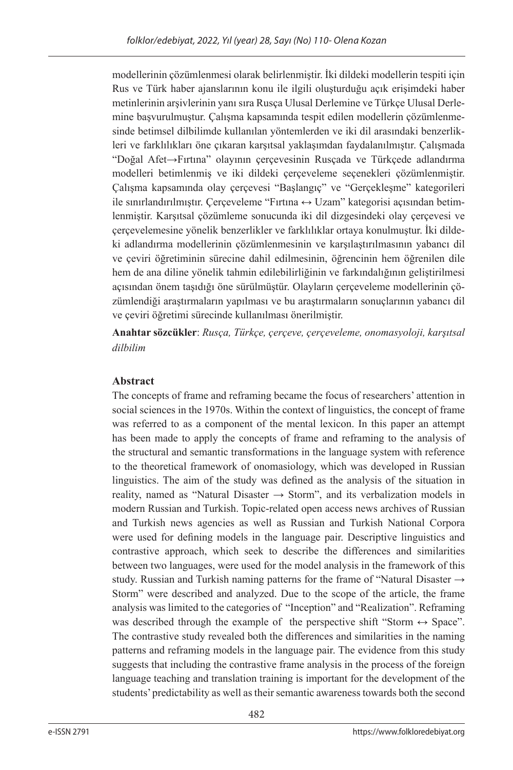modellerinin çözümlenmesi olarak belirlenmiştir. İki dildeki modellerin tespiti için Rus ve Türk haber ajanslarının konu ile ilgili oluşturduğu açık erişimdeki haber metinlerinin arşivlerinin yanı sıra Rusça Ulusal Derlemine ve Türkçe Ulusal Derlemine başvurulmuştur. Çalışma kapsamında tespit edilen modellerin çözümlenmesinde betimsel dilbilimde kullanılan yöntemlerden ve iki dil arasındaki benzerlikleri ve farklılıkları öne çıkaran karşıtsal yaklaşımdan faydalanılmıştır. Çalışmada "Doğal Afet→Fırtına" olayının çerçevesinin Rusçada ve Türkçede adlandırma modelleri betimlenmiş ve iki dildeki çerçeveleme seçenekleri çözümlenmiştir. Çalışma kapsamında olay çerçevesi "Başlangıç" ve "Gerçekleşme" kategorileri ile sınırlandırılmıştır. Çerçeveleme "Fırtına ↔ Uzam" kategorisi açısından betimlenmiştir. Karşıtsal çözümleme sonucunda iki dil dizgesindeki olay çerçevesi ve çerçevelemesine yönelik benzerlikler ve farklılıklar ortaya konulmuştur. İki dildeki adlandırma modellerinin çözümlenmesinin ve karşılaştırılmasının yabancı dil ve çeviri öğretiminin sürecine dahil edilmesinin, öğrencinin hem öğrenilen dile hem de ana diline yönelik tahmin edilebilirliğinin ve farkındalığının geliştirilmesi açısından önem taşıdığı öne sürülmüştür. Olayların çerçeveleme modellerinin çözümlendiği araştırmaların yapılması ve bu araştırmaların sonuçlarının yabancı dil ve çeviri öğretimi sürecinde kullanılması önerilmiştir.

**Anahtar sözcükler**: *Rusça, Türkçe, çerçeve, çerçeveleme, onomasyoloji, karşıtsal dilbilim*

## **Abstract**

The concepts of frame and reframing became the focus of researchers' attention in social sciences in the 1970s. Within the context of linguistics, the concept of frame was referred to as a component of the mental lexicon. In this paper an attempt has been made to apply the concepts of frame and reframing to the analysis of the structural and semantic transformations in the language system with reference to the theoretical framework of onomasiology, which was developed in Russian linguistics. The aim of the study was defined as the analysis of the situation in reality, named as "Natural Disaster  $\rightarrow$  Storm", and its verbalization models in modern Russian and Turkish. Topic-related open access news archives of Russian and Turkish news agencies as well as Russian and Turkish National Corpora were used for defining models in the language pair. Descriptive linguistics and contrastive approach, which seek to describe the differences and similarities between two languages, were used for the model analysis in the framework of this study. Russian and Turkish naming patterns for the frame of "Natural Disaster  $\rightarrow$ Storm" were described and analyzed. Due to the scope of the article, the frame analysis was limited to the categories of "Inception" and "Realization". Reframing was described through the example of the perspective shift "Storm  $\leftrightarrow$  Space". The contrastive study revealed both the differences and similarities in the naming patterns and reframing models in the language pair. The evidence from this study suggests that including the contrastive frame analysis in the process of the foreign language teaching and translation training is important for the development of the students' predictability as well as their semantic awareness towards both the second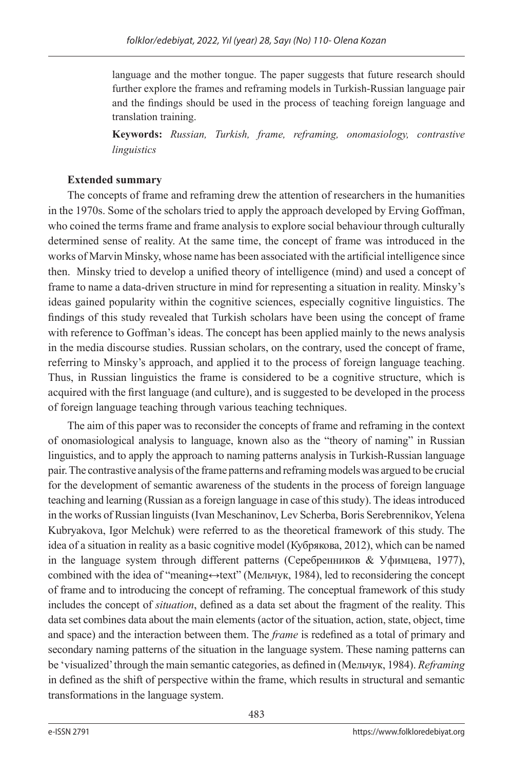language and the mother tongue. The paper suggests that future research should further explore the frames and reframing models in Turkish-Russian language pair and the findings should be used in the process of teaching foreign language and translation training.

**Keywords:** *Russian, Turkish, frame, reframing, onomasiology, contrastive linguistics* 

## **Extended summary**

The concepts of frame and reframing drew the attention of researchers in the humanities in the 1970s. Some of the scholars tried to apply the approach developed by Erving Goffman, who coined the terms frame and frame analysis to explore social behaviour through culturally determined sense of reality. At the same time, the concept of frame was introduced in the works of Marvin Minsky, whose name has been associated with the artificial intelligence since then. Minsky tried to develop a unified theory of intelligence (mind) and used a concept of frame to name a data-driven structure in mind for representing a situation in reality. Minsky's ideas gained popularity within the cognitive sciences, especially cognitive linguistics. The findings of this study revealed that Turkish scholars have been using the concept of frame with reference to Goffman's ideas. The concept has been applied mainly to the news analysis in the media discourse studies. Russian scholars, on the contrary, used the concept of frame, referring to Minsky's approach, and applied it to the process of foreign language teaching. Thus, in Russian linguistics the frame is considered to be a cognitive structure, which is acquired with the first language (and culture), and is suggested to be developed in the process of foreign language teaching through various teaching techniques.

The aim of this paper was to reconsider the concepts of frame and reframing in the context of onomasiological analysis to language, known also as the "theory of naming" in Russian linguistics, and to apply the approach to naming patterns analysis in Turkish-Russian language pair. The contrastive analysis of the frame patterns and reframing models was argued to be crucial for the development of semantic awareness of the students in the process of foreign language teaching and learning (Russian as a foreign language in case of this study). The ideas introduced in the works of Russian linguists (Ivan Meschaninov, Lev Scherba, Boris Serebrennikov, Yelena Kubryakova, Igor Melchuk) were referred to as the theoretical framework of this study. The idea of a situation in reality as a basic cognitive model (Кубрякова, 2012), which can be named in the language system through different patterns (Серебренников & Уфимцева, 1977), combined with the idea of "meaning↔text" (Мельчук, 1984), led to reconsidering the concept of frame and to introducing the concept of reframing. The conceptual framework of this study includes the concept of *situation*, defined as a data set about the fragment of the reality. This data set combines data about the main elements (actor of the situation, action, state, object, time and space) and the interaction between them. The *frame* is redefined as a total of primary and secondary naming patterns of the situation in the language system. These naming patterns can be 'visualized' through the main semantic categories, as defined in (Мельчук, 1984). *Reframing* in defined as the shift of perspective within the frame, which results in structural and semantic transformations in the language system.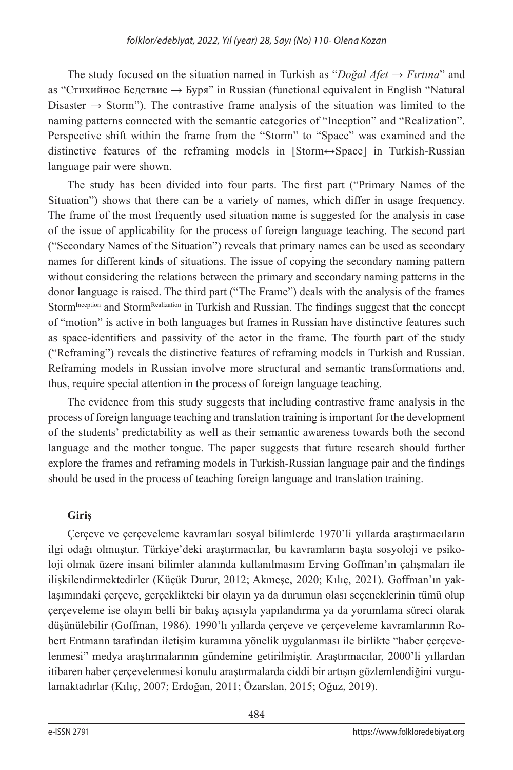The study focused on the situation named in Turkish as "*Doğal Afet → Fırtına*" and as "Стихийное Бедствие → Буря" in Russian (functional equivalent in English "Natural Disaster  $\rightarrow$  Storm"). The contrastive frame analysis of the situation was limited to the naming patterns connected with the semantic categories of "Inception" and "Realization". Perspective shift within the frame from the "Storm" to "Space" was examined and the distinctive features of the reframing models in [Storm↔Space] in Turkish-Russian language pair were shown.

The study has been divided into four parts. The first part ("Primary Names of the Situation") shows that there can be a variety of names, which differ in usage frequency. The frame of the most frequently used situation name is suggested for the analysis in case of the issue of applicability for the process of foreign language teaching. The second part ("Secondary Names of the Situation") reveals that primary names can be used as secondary names for different kinds of situations. The issue of copying the secondary naming pattern without considering the relations between the primary and secondary naming patterns in the donor language is raised. The third part ("The Frame") deals with the analysis of the frames Storm<sup>Inception</sup> and Storm<sup>Realization</sup> in Turkish and Russian. The findings suggest that the concept of "motion" is active in both languages but frames in Russian have distinctive features such as space-identifiers and passivity of the actor in the frame. The fourth part of the study ("Reframing") reveals the distinctive features of reframing models in Turkish and Russian. Reframing models in Russian involve more structural and semantic transformations and, thus, require special attention in the process of foreign language teaching.

The evidence from this study suggests that including contrastive frame analysis in the process of foreign language teaching and translation training is important for the development of the students' predictability as well as their semantic awareness towards both the second language and the mother tongue. The paper suggests that future research should further explore the frames and reframing models in Turkish-Russian language pair and the findings should be used in the process of teaching foreign language and translation training.

## **Giriş**

Çerçeve ve çerçeveleme kavramları sosyal bilimlerde 1970'li yıllarda araştırmacıların ilgi odağı olmuştur. Türkiye'deki araştırmacılar, bu kavramların başta sosyoloji ve psikoloji olmak üzere insani bilimler alanında kullanılmasını Erving Goffman'ın çalışmaları ile ilişkilendirmektedirler (Küçük Durur, 2012; Akmeşe, 2020; Kılıç, 2021). Goffman'ın yaklaşımındaki çerçeve, gerçeklikteki bir olayın ya da durumun olası seçeneklerinin tümü olup çerçeveleme ise olayın belli bir bakış açısıyla yapılandırma ya da yorumlama süreci olarak düşünülebilir (Goffman, 1986). 1990'lı yıllarda çerçeve ve çerçeveleme kavramlarının Robert Entmann tarafından iletişim kuramına yönelik uygulanması ile birlikte "haber çerçevelenmesi" medya araştırmalarının gündemine getirilmiştir. Araştırmacılar, 2000'li yıllardan itibaren haber çerçevelenmesi konulu araştırmalarda ciddi bir artışın gözlemlendiğini vurgulamaktadırlar (Kılıç, 2007; Erdoğan, 2011; Özarslan, 2015; Oğuz, 2019).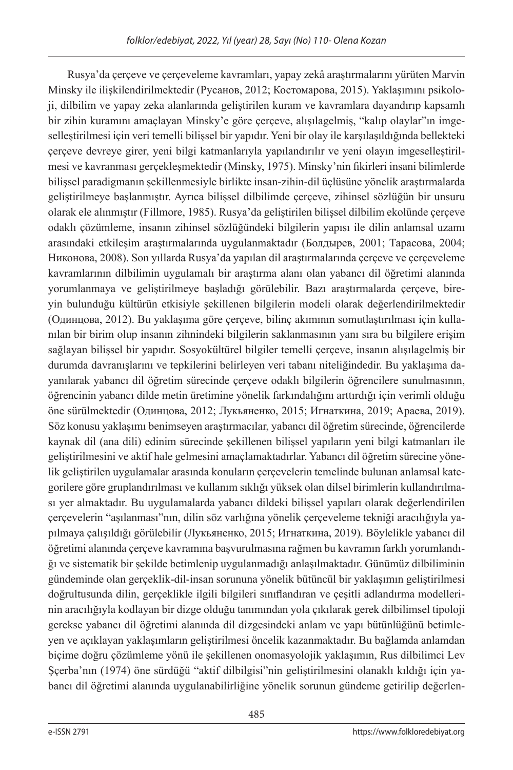Rusya'da çerçeve ve çerçeveleme kavramları, yapay zekâ araştırmalarını yürüten Marvin Minsky ile ilişkilendirilmektedir (Русанов, 2012; Костомарова, 2015). Yaklaşımını psikoloji, dilbilim ve yapay zeka alanlarında geliştirilen kuram ve kavramlara dayandırıp kapsamlı bir zihin kuramını amaçlayan Minsky'e göre çerçeve, alışılagelmiş, "kalıp olaylar"ın imgeselleştirilmesi için veri temelli bilişsel bir yapıdır. Yeni bir olay ile karşılaşıldığında bellekteki çerçeve devreye girer, yeni bilgi katmanlarıyla yapılandırılır ve yeni olayın imgeselleştirilmesi ve kavranması gerçekleşmektedir (Minsky, 1975). Minsky'nin fikirleri insani bilimlerde bilişsel paradigmanın şekillenmesiyle birlikte insan-zihin-dil üçlüsüne yönelik araştırmalarda geliştirilmeye başlanmıştır. Ayrıca bilişsel dilbilimde çerçeve, zihinsel sözlüğün bir unsuru olarak ele alınmıştır (Fillmore, 1985). Rusya'da geliştirilen bilişsel dilbilim ekolünde çerçeve odaklı çözümleme, insanın zihinsel sözlüğündeki bilgilerin yapısı ile dilin anlamsal uzamı arasındaki etkileşim araştırmalarında uygulanmaktadır (Болдырев, 2001; Тарасова, 2004; Никонова, 2008). Son yıllarda Rusya'da yapılan dil araştırmalarında çerçeve ve çerçeveleme kavramlarının dilbilimin uygulamalı bir araştırma alanı olan yabancı dil öğretimi alanında yorumlanmaya ve geliştirilmeye başladığı görülebilir. Bazı araştırmalarda çerçeve, bireyin bulunduğu kültürün etkisiyle şekillenen bilgilerin modeli olarak değerlendirilmektedir (Одинцова, 2012). Bu yaklaşıma göre çerçeve, bilinç akımının somutlaştırılması için kullanılan bir birim olup insanın zihnindeki bilgilerin saklanmasının yanı sıra bu bilgilere erişim sağlayan bilişsel bir yapıdır. Sosyokültürel bilgiler temelli çerçeve, insanın alışılagelmiş bir durumda davranışlarını ve tepkilerini belirleyen veri tabanı niteliğindedir. Bu yaklaşıma dayanılarak yabancı dil öğretim sürecinde çerçeve odaklı bilgilerin öğrencilere sunulmasının, öğrencinin yabancı dilde metin üretimine yönelik farkındalığını arttırdığı için verimli olduğu öne sürülmektedir (Одинцова, 2012; Лукьяненко, 2015; Игнаткина, 2019; Араева, 2019). Söz konusu yaklaşımı benimseyen araştırmacılar, yabancı dil öğretim sürecinde, öğrencilerde kaynak dil (ana dili) edinim sürecinde şekillenen bilişsel yapıların yeni bilgi katmanları ile geliştirilmesini ve aktif hale gelmesini amaçlamaktadırlar. Yabancı dil öğretim sürecine yönelik geliştirilen uygulamalar arasında konuların çerçevelerin temelinde bulunan anlamsal kategorilere göre gruplandırılması ve kullanım sıklığı yüksek olan dilsel birimlerin kullandırılması yer almaktadır. Bu uygulamalarda yabancı dildeki bilişsel yapıları olarak değerlendirilen çerçevelerin "aşılanması"nın, dilin söz varlığına yönelik çerçeveleme tekniği aracılığıyla yapılmaya çalışıldığı görülebilir (Лукьяненко, 2015; Игнаткина, 2019). Böylelikle yabancı dil öğretimi alanında çerçeve kavramına başvurulmasına rağmen bu kavramın farklı yorumlandığı ve sistematik bir şekilde betimlenip uygulanmadığı anlaşılmaktadır. Günümüz dilbiliminin gündeminde olan gerçeklik-dil-insan sorununa yönelik bütüncül bir yaklaşımın geliştirilmesi doğrultusunda dilin, gerçeklikle ilgili bilgileri sınıflandıran ve çeşitli adlandırma modellerinin aracılığıyla kodlayan bir dizge olduğu tanımından yola çıkılarak gerek dilbilimsel tipoloji gerekse yabancı dil öğretimi alanında dil dizgesindeki anlam ve yapı bütünlüğünü betimleyen ve açıklayan yaklaşımların geliştirilmesi öncelik kazanmaktadır. Bu bağlamda anlamdan biçime doğru çözümleme yönü ile şekillenen onomasyolojik yaklaşımın, Rus dilbilimci Lev Şçerba'nın (1974) öne sürdüğü "aktif dilbilgisi"nin geliştirilmesini olanaklı kıldığı için yabancı dil öğretimi alanında uygulanabilirliğine yönelik sorunun gündeme getirilip değerlen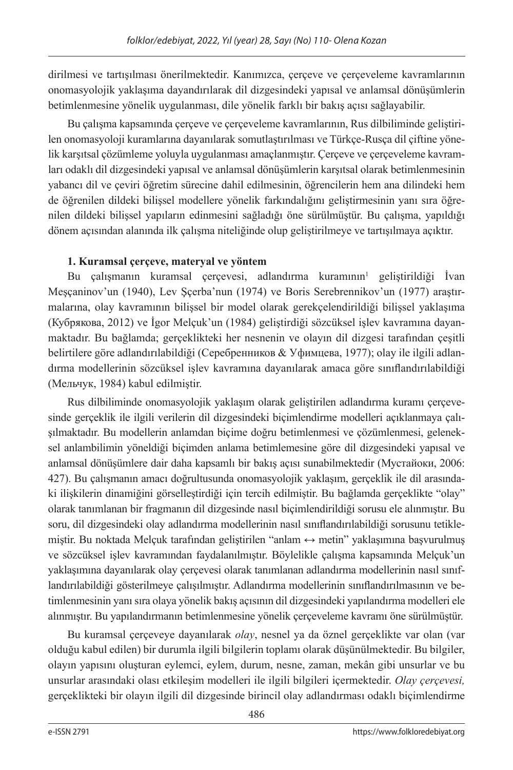dirilmesi ve tartışılması önerilmektedir. Kanımızca, çerçeve ve çerçeveleme kavramlarının onomasyolojik yaklaşıma dayandırılarak dil dizgesindeki yapısal ve anlamsal dönüşümlerin betimlenmesine yönelik uygulanması, dile yönelik farklı bir bakış açısı sağlayabilir.

Bu çalışma kapsamında çerçeve ve çerçeveleme kavramlarının, Rus dilbiliminde geliştirilen onomasyoloji kuramlarına dayanılarak somutlaştırılması ve Türkçe-Rusça dil çiftine yönelik karşıtsal çözümleme yoluyla uygulanması amaçlanmıştır. Çerçeve ve çerçeveleme kavramları odaklı dil dizgesindeki yapısal ve anlamsal dönüşümlerin karşıtsal olarak betimlenmesinin yabancı dil ve çeviri öğretim sürecine dahil edilmesinin, öğrencilerin hem ana dilindeki hem de öğrenilen dildeki bilişsel modellere yönelik farkındalığını geliştirmesinin yanı sıra öğrenilen dildeki bilişsel yapıların edinmesini sağladığı öne sürülmüştür. Bu çalışma, yapıldığı dönem açısından alanında ilk çalışma niteliğinde olup geliştirilmeye ve tartışılmaya açıktır.

## **1. Kuramsal çerçeve, materyal ve yöntem**

Bu çalışmanın kuramsal çerçevesi, adlandırma kuramının $1$  geliştirildiği İvan Meşçaninov'un (1940), Lev Şçerba'nun (1974) ve Boris Serebrennikov'un (1977) araştırmalarına, olay kavramının bilişsel bir model olarak gerekçelendirildiği bilişsel yaklaşıma (Кубрякова, 2012) ve İgor Melçuk'un (1984) geliştirdiği sözcüksel işlev kavramına dayanmaktadır. Bu bağlamda; gerçeklikteki her nesnenin ve olayın dil dizgesi tarafından çeşitli belirtilere göre adlandırılabildiği (Серебренников & Уфимцева, 1977); olay ile ilgili adlandırma modellerinin sözcüksel işlev kavramına dayanılarak amaca göre sınıflandırılabildiği (Мельчук, 1984) kabul edilmiştir.

Rus dilbiliminde onomasyolojik yaklaşım olarak geliştirilen adlandırma kuramı çerçevesinde gerçeklik ile ilgili verilerin dil dizgesindeki biçimlendirme modelleri açıklanmaya çalışılmaktadır. Bu modellerin anlamdan biçime doğru betimlenmesi ve çözümlenmesi, geleneksel anlambilimin yöneldiği biçimden anlama betimlemesine göre dil dizgesindeki yapısal ve anlamsal dönüşümlere dair daha kapsamlı bir bakış açısı sunabilmektedir (Мустайоки, 2006: 427). Bu çalışmanın amacı doğrultusunda onomasyolojik yaklaşım, gerçeklik ile dil arasındaki ilişkilerin dinamiğini görselleştirdiği için tercih edilmiştir. Bu bağlamda gerçeklikte "olay" olarak tanımlanan bir fragmanın dil dizgesinde nasıl biçimlendirildiği sorusu ele alınmıştır. Bu soru, dil dizgesindeki olay adlandırma modellerinin nasıl sınıflandırılabildiği sorusunu tetiklemiştir. Bu noktada Melçuk tarafından geliştirilen "anlam ↔ metin" yaklaşımına başvurulmuş ve sözcüksel işlev kavramından faydalanılmıştır. Böylelikle çalışma kapsamında Melçuk'un yaklaşımına dayanılarak olay çerçevesi olarak tanımlanan adlandırma modellerinin nasıl sınıflandırılabildiği gösterilmeye çalışılmıştır. Adlandırma modellerinin sınıflandırılmasının ve betimlenmesinin yanı sıra olaya yönelik bakış açısının dil dizgesindeki yapılandırma modelleri ele alınmıştır. Bu yapılandırmanın betimlenmesine yönelik çerçeveleme kavramı öne sürülmüştür.

Bu kuramsal çerçeveye dayanılarak *olay*, nesnel ya da öznel gerçeklikte var olan (var olduğu kabul edilen) bir durumla ilgili bilgilerin toplamı olarak düşünülmektedir. Bu bilgiler, olayın yapısını oluşturan eylemci, eylem, durum, nesne, zaman, mekân gibi unsurlar ve bu unsurlar arasındaki olası etkileşim modelleri ile ilgili bilgileri içermektedir. *Olay çerçevesi,*  gerçeklikteki bir olayın ilgili dil dizgesinde birincil olay adlandırması odaklı biçimlendirme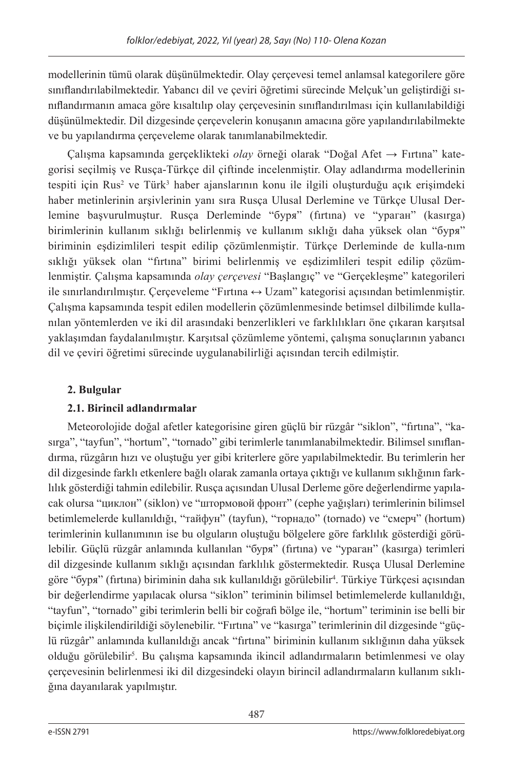modellerinin tümü olarak düşünülmektedir. Olay çerçevesi temel anlamsal kategorilere göre sınıflandırılabilmektedir. Yabancı dil ve çeviri öğretimi sürecinde Melçuk'un geliştirdiği sınıflandırmanın amaca göre kısaltılıp olay çerçevesinin sınıflandırılması için kullanılabildiği düşünülmektedir. Dil dizgesinde çerçevelerin konuşanın amacına göre yapılandırılabilmekte ve bu yapılandırma çerçeveleme olarak tanımlanabilmektedir.

Çalışma kapsamında gerçeklikteki *olay* örneği olarak "Doğal Afet → Fırtına" kategorisi seçilmiş ve Rusça-Türkçe dil çiftinde incelenmiştir. Olay adlandırma modellerinin tespiti için Rus<sup>2</sup> ve Türk<sup>3</sup> haber ajanslarının konu ile ilgili oluşturduğu açık erişimdeki haber metinlerinin arşivlerinin yanı sıra Rusça Ulusal Derlemine ve Türkçe Ulusal Derlemine başvurulmuştur. Rusça Derleminde "буря" (fırtına) ve "ураган" (kasırga) birimlerinin kullanım sıklığı belirlenmiş ve kullanım sıklığı daha yüksek olan "буря" biriminin eşdizimlileri tespit edilip çözümlenmiştir. Türkçe Derleminde de kulla-nım sıklığı yüksek olan "fırtına" birimi belirlenmiş ve eşdizimlileri tespit edilip çözümlenmiştir. Çalışma kapsamında *olay çerçevesi* "Başlangıç" ve "Gerçekleşme" kategorileri ile sınırlandırılmıştır. Çerçeveleme "Fırtına ↔ Uzam" kategorisi açısından betimlenmiştir. Çalışma kapsamında tespit edilen modellerin çözümlenmesinde betimsel dilbilimde kullanılan yöntemlerden ve iki dil arasındaki benzerlikleri ve farklılıkları öne çıkaran karşıtsal yaklaşımdan faydalanılmıştır. Karşıtsal çözümleme yöntemi, çalışma sonuçlarının yabancı dil ve çeviri öğretimi sürecinde uygulanabilirliği açısından tercih edilmiştir.

## **2. Bulgular**

## **2.1. Birincil adlandırmalar**

Meteorolojide doğal afetler kategorisine giren güçlü bir rüzgâr "siklon", "fırtına", "kasırga", "tayfun", "hortum", "tornado" gibi terimlerle tanımlanabilmektedir. Bilimsel sınıflandırma, rüzgârın hızı ve oluştuğu yer gibi kriterlere göre yapılabilmektedir. Bu terimlerin her dil dizgesinde farklı etkenlere bağlı olarak zamanla ortaya çıktığı ve kullanım sıklığının farklılık gösterdiği tahmin edilebilir. Rusça açısından Ulusal Derleme göre değerlendirme yapılacak olursa "циклон" (siklon) ve "штормовой фронт" (cephe yağışları) terimlerinin bilimsel betimlemelerde kullanıldığı, "тайфун" (tayfun), "торнадо" (tornado) ve "смерч" (hortum) terimlerinin kullanımının ise bu olguların oluştuğu bölgelere göre farklılık gösterdiği görülebilir. Güçlü rüzgâr anlamında kullanılan "буря" (fırtına) ve "ураган" (kasırga) terimleri dil dizgesinde kullanım sıklığı açısından farklılık göstermektedir. Rusça Ulusal Derlemine göre "буря" (firtına) biriminin daha sık kullanıldığı görülebilir<sup>4</sup>. Türkiye Türkçesi açısından bir değerlendirme yapılacak olursa "siklon" teriminin bilimsel betimlemelerde kullanıldığı, "tayfun", "tornado" gibi terimlerin belli bir coğrafi bölge ile, "hortum" teriminin ise belli bir biçimle ilişkilendirildiği söylenebilir. "Fırtına" ve "kasırga" terimlerinin dil dizgesinde "güçlü rüzgâr" anlamında kullanıldığı ancak "fırtına" biriminin kullanım sıklığının daha yüksek olduğu görülebilir<sup>5</sup>. Bu çalışma kapsamında ikincil adlandırmaların betimlenmesi ve olay çerçevesinin belirlenmesi iki dil dizgesindeki olayın birincil adlandırmaların kullanım sıklığına dayanılarak yapılmıştır.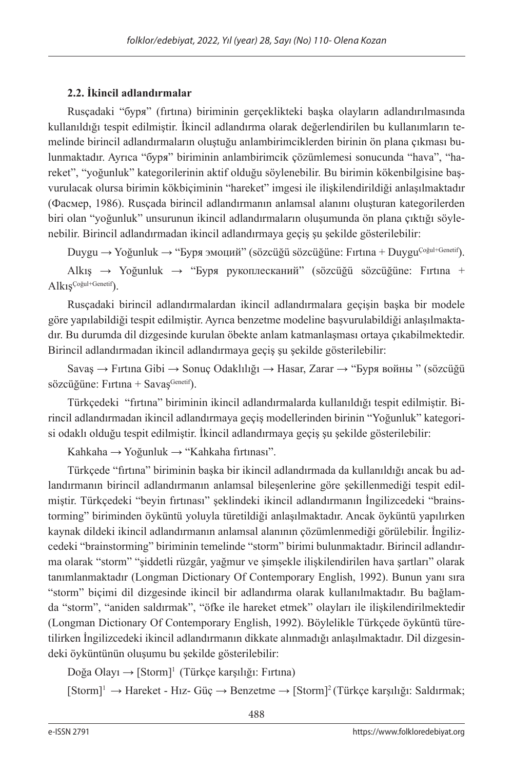## **2.2. İkincil adlandırmalar**

Rusçadaki "буря" (fırtına) biriminin gerçeklikteki başka olayların adlandırılmasında kullanıldığı tespit edilmiştir. İkincil adlandırma olarak değerlendirilen bu kullanımların temelinde birincil adlandırmaların oluştuğu anlambirimciklerden birinin ön plana çıkması bulunmaktadır. Ayrıca "буря" biriminin anlambirimcik çözümlemesi sonucunda "hava", "hareket", "yoğunluk" kategorilerinin aktif olduğu söylenebilir. Bu birimin kökenbilgisine başvurulacak olursa birimin kökbiçiminin "hareket" imgesi ile ilişkilendirildiği anlaşılmaktadır (Фасмер, 1986). Rusçada birincil adlandırmanın anlamsal alanını oluşturan kategorilerden biri olan "yoğunluk" unsurunun ikincil adlandırmaların oluşumunda ön plana çıktığı söylenebilir. Birincil adlandırmadan ikincil adlandırmaya geçiş şu şekilde gösterilebilir:

Duygu → Yoğunluk → "Буря эмоций" (sözcüğü sözcüğüne: Fırtına + DuyguÇoğul+Genetif).

Alkış → Yoğunluk → "Буря рукоплесканий" (sözcüğü sözcüğüne: Fırtına + AlkışÇoğul+Genetif).

Rusçadaki birincil adlandırmalardan ikincil adlandırmalara geçişin başka bir modele göre yapılabildiği tespit edilmiştir. Ayrıca benzetme modeline başvurulabildiği anlaşılmaktadır. Bu durumda dil dizgesinde kurulan öbekte anlam katmanlaşması ortaya çıkabilmektedir. Birincil adlandırmadan ikincil adlandırmaya geçiş şu şekilde gösterilebilir:

Savaş → Fırtına Gibi → Sonuç Odaklılığı → Hasar, Zarar → "Буря войны " (sözcüğü sözcüğüne: Fırtına + Savas $G_{\text{enetti}}$ ).

Türkçedeki "fırtına" biriminin ikincil adlandırmalarda kullanıldığı tespit edilmiştir. Birincil adlandırmadan ikincil adlandırmaya geçiş modellerinden birinin "Yoğunluk" kategorisi odaklı olduğu tespit edilmiştir. İkincil adlandırmaya geçiş şu şekilde gösterilebilir:

Kahkaha → Yoğunluk → "Kahkaha fırtınası".

Türkçede "fırtına" biriminin başka bir ikincil adlandırmada da kullanıldığı ancak bu adlandırmanın birincil adlandırmanın anlamsal bileşenlerine göre şekillenmediği tespit edilmiştir. Türkçedeki "beyin fırtınası" şeklindeki ikincil adlandırmanın İngilizcedeki "brainstorming" biriminden öyküntü yoluyla türetildiği anlaşılmaktadır. Ancak öyküntü yapılırken kaynak dildeki ikincil adlandırmanın anlamsal alanının çözümlenmediği görülebilir. İngilizcedeki "brainstorming" biriminin temelinde "storm" birimi bulunmaktadır. Birincil adlandırma olarak "storm" "şiddetli rüzgâr, yağmur ve şimşekle ilişkilendirilen hava şartları" olarak tanımlanmaktadır (Longman Dictionary Of Contemporary English, 1992). Bunun yanı sıra "storm" biçimi dil dizgesinde ikincil bir adlandırma olarak kullanılmaktadır. Bu bağlamda "storm", "aniden saldırmak", "öfke ile hareket etmek" olayları ile ilişkilendirilmektedir (Longman Dictionary Of Contemporary English, 1992). Böylelikle Türkçede öyküntü türetilirken İngilizcedeki ikincil adlandırmanın dikkate alınmadığı anlaşılmaktadır. Dil dizgesindeki öyküntünün oluşumu bu şekilde gösterilebilir:

Doğa Olayı  $\rightarrow$  [Storm]<sup>1</sup> (Türkçe karşılığı: Fırtına)

 $[Storm]^1 \rightarrow \text{Hareket - Hız- Güç} \rightarrow \text{Benzetme} \rightarrow [Storm]^2$  (Türkçe karşılığı: Saldırmak;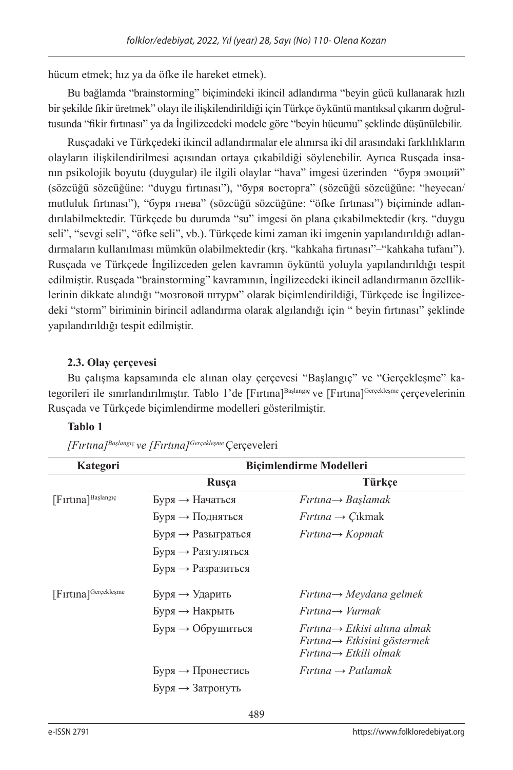hücum etmek; hız ya da öfke ile hareket etmek).

Bu bağlamda "brainstorming" biçimindeki ikincil adlandırma "beyin gücü kullanarak hızlı bir şekilde fikir üretmek" olayı ile ilişkilendirildiği için Türkçe öyküntü mantıksal çıkarım doğrultusunda "fikir fırtınası" ya da İngilizcedeki modele göre "beyin hücumu" şeklinde düşünülebilir.

Rusçadaki ve Türkçedeki ikincil adlandırmalar ele alınırsa iki dil arasındaki farklılıkların olayların ilişkilendirilmesi açısından ortaya çıkabildiği söylenebilir. Ayrıca Rusçada insanın psikolojik boyutu (duygular) ile ilgili olaylar "hava" imgesi üzerinden "буря эмоций" (sözcüğü sözcüğüne: "duygu fırtınası"), "буря восторга" (sözcüğü sözcüğüne: "heyecan/ mutluluk fırtınası"), "буря гнева" (sözcüğü sözcüğüne: "öfke fırtınası") biçiminde adlandırılabilmektedir. Türkçede bu durumda "su" imgesi ön plana çıkabilmektedir (krş. "duygu seli", "sevgi seli", "öfke seli", vb.). Türkçede kimi zaman iki imgenin yapılandırıldığı adlandırmaların kullanılması mümkün olabilmektedir (krş. "kahkaha fırtınası"–"kahkaha tufanı"). Rusçada ve Türkçede İngilizceden gelen kavramın öyküntü yoluyla yapılandırıldığı tespit edilmiştir. Rusçada "brainstorming" kavramının, İngilizcedeki ikincil adlandırmanın özelliklerinin dikkate alındığı "мозговой штурм" olarak biçimlendirildiği, Türkçede ise İngilizcedeki "storm" biriminin birincil adlandırma olarak algılandığı için " beyin fırtınası" şeklinde yapılandırıldığı tespit edilmiştir.

## **2.3. Olay çerçevesi**

Bu çalışma kapsamında ele alınan olay çerçevesi "Başlangıç" ve "Gerçekleşme" kategorileri ile sınırlandırılmıştır. Tablo 1'de [Fırtına]Başlangıç ve [Fırtına]Gerçekleşme çerçevelerinin Rusçada ve Türkçede biçimlendirme modelleri gösterilmiştir.

## **Tablo 1**

| Kategori                       | <b>Biçimlendirme Modelleri</b>       |                                                                                                                             |
|--------------------------------|--------------------------------------|-----------------------------------------------------------------------------------------------------------------------------|
|                                | Rusça                                | Türkce                                                                                                                      |
| [Firtina] <sup>Başlangıç</sup> | $SypB \rightarrow Ha$ чаться         | $Firtina \rightarrow Baslamak$                                                                                              |
|                                | $5\gamma$ ря $\rightarrow$ Подняться | $Firtina \rightarrow Cikmak$                                                                                                |
|                                | $SypA \rightarrow Pa3b$ играться     | $Firtina \rightarrow Kopmak$                                                                                                |
|                                | $SypB \rightarrow$ Разгуляться       |                                                                                                                             |
|                                | $SypA \rightarrow Pa$ зразиться      |                                                                                                                             |
| [Firtina]Gerçekleşme           | $5ypx \rightarrow yxap(xb)$          | $Firtina \rightarrow Meydana$ gelmek                                                                                        |
|                                | $SypB \rightarrow HaKpBbTb$          | $Firtina \rightarrow Vurmak$                                                                                                |
|                                | Буря → Обрушиться                    | $Firtina \rightarrow Etkisi$ altına almak<br>$Firtina \rightarrow Etkisini göstermek$<br>$Firtina \rightarrow Etkili$ olmak |
|                                | $SypB \rightarrow \Pi$ ронестись     | $F$ irtina $\rightarrow$ Patlamak                                                                                           |
|                                | Буря → Затронуть                     |                                                                                                                             |

*[Fırtına]Başlangıç ve [Fırtına]Gerçekleşme* Çerçeveleri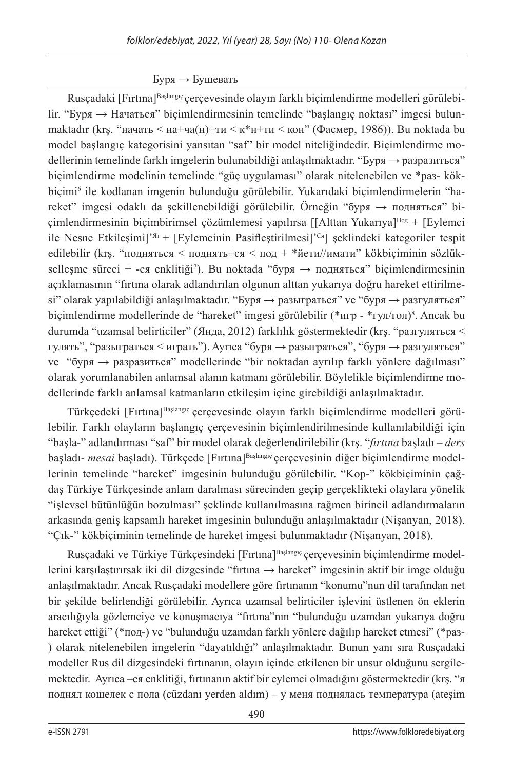## Буря *→* Бушевать

Rusçadaki [Fırtına]Başlangıç çerçevesinde olayın farklı biçimlendirme modelleri görülebilir. "Буря → Начаться" biçimlendirmesinin temelinde "başlangıç noktası" imgesi bulunmaktadır (krs. "начать < на+ча(н)+ти < к\*н+ти < кон" (Фасмер, 1986)). Bu noktada bu model başlangıç kategorisini yansıtan "saf" bir model niteliğindedir. Biçimlendirme modellerinin temelinde farklı imgelerin bulunabildiği anlaşılmaktadır. "Буря → разразиться" biçimlendirme modelinin temelinde "güç uygulaması" olarak nitelenebilen ve \*раз- kökbiçimi<sup>6</sup> ile kodlanan imgenin bulunduğu görülebilir. Yukarıdaki biçimlendirmelerin "hareket" imgesi odaklı da şekillenebildiği görülebilir. Örneğin "буря → подняться" biçimlendirmesinin biçimbirimsel çözümlemesi yapılırsa [[Alttan Yukarıya]Под + [Eylemci ile Nesne Etkileşimi]\*Ят + [Eylemcinin Pasifleştirilmesi]\*Ся] şeklindeki kategoriler tespit edilebilir (krs. "подняться < поднять+ся < под + \*йети//имати" kökbiciminin sözlükselleşme süreci + -ся enklitiği<sup>7</sup>). Bu noktada "буря → подняться" biçimlendirmesinin açıklamasının "fırtına olarak adlandırılan olgunun alttan yukarıya doğru hareket ettirilmesi" olarak yapılabildiği anlaşılmaktadır. "Буря  $\rightarrow$  разыграться" ve "буря  $\rightarrow$  разгуляться" biçimlendirme modellerinde de "hareket" imgesi görülebilir (\*игр - \*гул/гол)8 . Ancak bu durumda "uzamsal belirticiler" (Янда, 2012) farklılık göstermektedir (krş. "разгуляться < гулять", "разыграться < играть"). Ayrıca "буря → разыграться", "буря → разгуляться" ve "буря → разразиться" modellerinde "bir noktadan ayrılıp farklı yönlere dağılması" olarak yorumlanabilen anlamsal alanın katmanı görülebilir. Böylelikle biçimlendirme modellerinde farklı anlamsal katmanların etkileşim içine girebildiği anlaşılmaktadır.

Türkçedeki [Fırtına]<sup>Başlangıç</sup> çerçevesinde olayın farklı biçimlendirme modelleri görülebilir. Farklı olayların başlangıç çerçevesinin biçimlendirilmesinde kullanılabildiği için "başla-" adlandırması "saf" bir model olarak değerlendirilebilir (krş. "*fırtına* başladı – *ders* başladı- *mesai* başladı). Türkçede [Fırtına]<sup>Başlangıç</sup> çerçevesinin diğer biçimlendirme modellerinin temelinde "hareket" imgesinin bulunduğu görülebilir. "Kop-" kökbiçiminin çağdaş Türkiye Türkçesinde anlam daralması sürecinden geçip gerçeklikteki olaylara yönelik "işlevsel bütünlüğün bozulması" şeklinde kullanılmasına rağmen birincil adlandırmaların arkasında geniş kapsamlı hareket imgesinin bulunduğu anlaşılmaktadır (Nişanyan, 2018). "Çık-" kökbiçiminin temelinde de hareket imgesi bulunmaktadır (Nişanyan, 2018).

Rusçadaki ve Türkiye Türkçesindeki [Fırtına]<sup>Başlangıç</sup> çerçevesinin biçimlendirme modellerini karşılaştırırsak iki dil dizgesinde "fırtına → hareket" imgesinin aktif bir imge olduğu anlaşılmaktadır. Ancak Rusçadaki modellere göre fırtınanın "konumu"nun dil tarafından net bir şekilde belirlendiği görülebilir. Ayrıca uzamsal belirticiler işlevini üstlenen ön eklerin aracılığıyla gözlemciye ve konuşmacıya "fırtına"nın "bulunduğu uzamdan yukarıya doğru hareket ettiği" (\*под-) ve "bulunduğu uzamdan farklı yönlere dağılıp hareket etmesi" (\*раз- ) olarak nitelenebilen imgelerin "dayatıldığı" anlaşılmaktadır. Bunun yanı sıra Rusçadaki modeller Rus dil dizgesindeki fırtınanın, olayın içinde etkilenen bir unsur olduğunu sergilemektedir. Ayrıca –ся enklitiği, fırtınanın aktif bir eylemci olmadığını göstermektedir (krş. "я поднял кошелек с пола (cüzdanı yerden aldım) – у меня поднялась температура (ateşim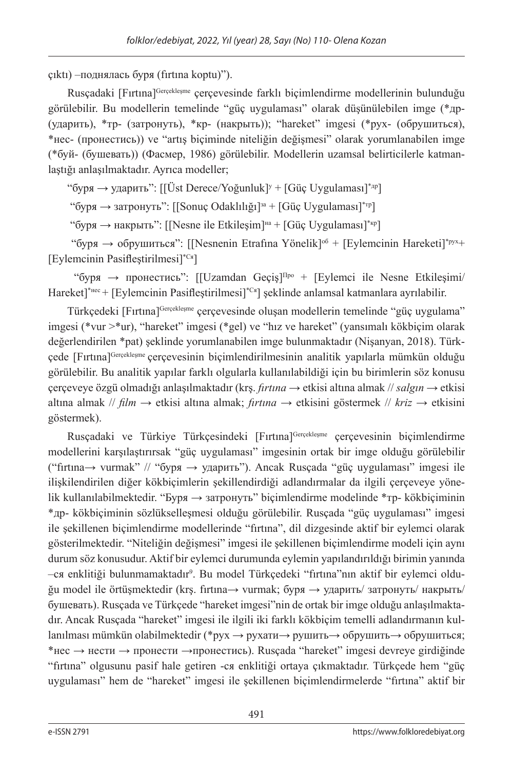çıktı) –поднялась буря (fırtına koptu)").

Rusçadaki [Fırtına]Gerçekleşme çerçevesinde farklı biçimlendirme modellerinin bulunduğu görülebilir. Bu modellerin temelinde "güç uygulaması" olarak düşünülebilen imge (\*др- (ударить), \*тр- (затронуть), \*кр- (накрыть)); "hareket" imgesi (\*рух- (обрушиться), \*нес- (пронестись)) ve "artış biçiminde niteliğin değişmesi" olarak yorumlanabilen imge (\*буй- (бушевать)) (Фасмер, 1986) görülebilir. Modellerin uzamsal belirticilerle katmanlaştığı anlaşılmaktadır. Ayrıca modeller;

"буря — ударить": [[Üst Derece/Yoğunluk]<sup>y</sup> + [Güç Uygulaması]\*<sup>др</sup>]

"буря  $\rightarrow$  затронуть": [[Sonuç Odaklılığı]<sup>3a</sup> + [Güç Uygulaması]<sup>\*</sup><sup>rp</sup>]

"буря  $\rightarrow$  накрыть": [[Nesne ile Etkilesim]<sup>на</sup> + [Güç Uygulaması]<sup>\*</sup><sup>кр</sup>]

"буря  $\rightarrow$  обрушиться": [[Nesnenin Etrafina Yönelik]<sup>06</sup> + [Eylemcinin Hareketi]<sup>\*pyx</sup>+ [Eylemcinin Pasifleştirilmesi]\*Ся]

"буря  $\rightarrow$  пронестись": [[Uzamdan Geçis]<sup>Про</sup> + [Eylemci ile Nesne Etkilesimi/ Hareket]\*нес + [Eylemcinin Pasifleştirilmesi]\*Ся] şeklinde anlamsal katmanlara ayrılabilir.

Türkçedeki [Fırtına]Gerçekleşme çerçevesinde oluşan modellerin temelinde "güç uygulama" imgesi (\*vur >\*ur), "hareket" imgesi (\*gel) ve "hız ve hareket" (yansımalı kökbiçim olarak değerlendirilen \*pat) şeklinde yorumlanabilen imge bulunmaktadır (Nişanyan, 2018). Türkçede [Fırtına]Gerçekleşme çerçevesinin biçimlendirilmesinin analitik yapılarla mümkün olduğu görülebilir. Bu analitik yapılar farklı olgularla kullanılabildiği için bu birimlerin söz konusu çerçeveye özgü olmadığı anlaşılmaktadır (krş. *fırtına* → etkisi altına almak // *salgın* → etkisi altına almak // *film* → etkisi altına almak; *fırtına* → etkisini göstermek // *kriz* → etkisini göstermek).

Rusçadaki ve Türkiye Türkçesindeki [Fırtına]Gerçekleşme çerçevesinin biçimlendirme modellerini karşılaştırırsak "güç uygulaması" imgesinin ortak bir imge olduğu görülebilir ("fırtına→ vurmak" // "буря → ударить"). Ancak Rusçada "güç uygulaması" imgesi ile ilişkilendirilen diğer kökbiçimlerin şekillendirdiği adlandırmalar da ilgili çerçeveye yönelik kullanılabilmektedir. "Буря → затронуть" biçimlendirme modelinde \*тр- kökbiçiminin \*др- kökbiçiminin sözlükselleşmesi olduğu görülebilir. Rusçada "güç uygulaması" imgesi ile şekillenen biçimlendirme modellerinde "fırtına", dil dizgesinde aktif bir eylemci olarak gösterilmektedir. "Niteliğin değişmesi" imgesi ile şekillenen biçimlendirme modeli için aynı durum söz konusudur. Aktif bir eylemci durumunda eylemin yapılandırıldığı birimin yanında –ся enklitiği bulunmamaktadır9 . Bu model Türkçedeki "fırtına"nın aktif bir eylemci olduğu model ile örtüşmektedir (krş. fırtına→ vurmak; буря → ударить/ затронуть/ накрыть/ бушевать). Rusçada ve Türkçede "hareket imgesi"nin de ortak bir imge olduğu anlaşılmaktadır. Ancak Rusçada "hareket" imgesi ile ilgili iki farklı kökbiçim temelli adlandırmanın kullanılması mümkün olabilmektedir (\*рух → рухати→ рушить→ обрушить→ обрушиться; \*нес  $\rightarrow$  нести  $\rightarrow$  пронести  $\rightarrow$ пронестись). Ruscada "hareket" imgesi devreye girdiğinde "fırtına" olgusunu pasif hale getiren -ся enklitiği ortaya çıkmaktadır. Türkçede hem "güç uygulaması" hem de "hareket" imgesi ile şekillenen biçimlendirmelerde "fırtına" aktif bir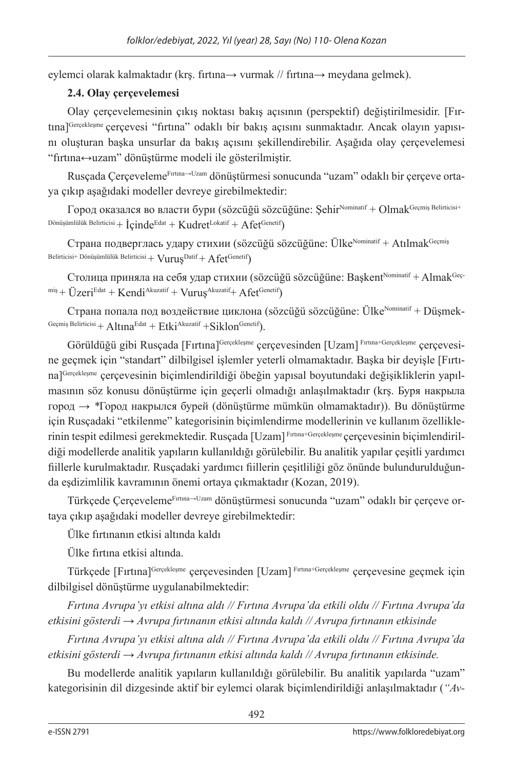eylemci olarak kalmaktadır (krş. fırtına→ vurmak // fırtına→ meydana gelmek).

## **2.4. Olay çerçevelemesi**

Olay çerçevelemesinin çıkış noktası bakış açısının (perspektif) değiştirilmesidir. [Fırtına]Gerçekleşme çerçevesi "fırtına" odaklı bir bakış açısını sunmaktadır. Ancak olayın yapısını oluşturan başka unsurlar da bakış açısını şekillendirebilir. Aşağıda olay çerçevelemesi "fırtına↔uzam" dönüştürme modeli ile gösterilmiştir.

Rusçada ÇerçevelemeFırtına→Uzam dönüştürmesi sonucunda "uzam" odaklı bir çerçeve ortaya çıkıp aşağıdaki modeller devreye girebilmektedir:

Город оказался во власти бури (sözcüğü sözcüğüne: Şehir<sup>Nominatif</sup> + Olmak<sup>Geçmiş Belirticisi+</sup> Dönüşümlülük Belirticisi +  $icinde<sup>Edat</sup> + Kudret<sup>Lokatif</sup> + A fet<sup>Genetif</sup>)$ 

Страна подверглась удару стихии (sözcüğü sözcüğüne: Ülke<sup>Nominatif</sup> + Atılmak<sup>Geçmiş</sup> Belirticisi+ Dönüşümlülük Belirticisi +  $Vurus<sup>Datif</sup> + Afct<sup>Genetif</sup>$ 

Столица приняла на себя удар стихии (sözcüğü sözcüğüne: Baskent<sup>Nominatif</sup> + Almak<sup>Geç-</sup>  $m/s + \ddot{U}$ zeriEdat + Kendi<sup>Akuzatif</sup> + Vurus<sup>Akuzatif</sup> + Afet<sup>Genetif</sup>)

Страна попала под воздействие циклона (sözcüğü sözcüğüne: Ülke $N$ ominatif + Düşmek-Geçmiş Belirticisi + Altına<sup>Edat</sup> + Etki<sup>Akuzatif</sup> + Siklon<sup>Genetif</sup>).

Görüldüğü gibi Rusçada [Fırtına]<sup>Gerçekleşme</sup> çerçevesinden [Uzam] Fırtına+Gerçekleşme cercevesine geçmek için "standart" dilbilgisel işlemler yeterli olmamaktadır. Başka bir deyişle [Fırtına]Gerçekleşme çerçevesinin biçimlendirildiği öbeğin yapısal boyutundaki değişikliklerin yapılmasının söz konusu dönüştürme için geçerli olmadığı anlaşılmaktadır (krş. Буря накрыла город → *\**Город накрылся бурей (dönüştürme mümkün olmamaktadır)). Bu dönüştürme için Rusçadaki "etkilenme" kategorisinin biçimlendirme modellerinin ve kullanım özelliklerinin tespit edilmesi gerekmektedir. Rusçada [Uzam] Fırtına+Gerçekleşme çerçevesinin biçimlendirildiği modellerde analitik yapıların kullanıldığı görülebilir. Bu analitik yapılar çeşitli yardımcı fiillerle kurulmaktadır. Rusçadaki yardımcı fiillerin çeşitliliği göz önünde bulundurulduğunda eşdizimlilik kavramının önemi ortaya çıkmaktadır (Kozan, 2019).

Türkçede ÇerçevelemeFırtına→Uzam dönüştürmesi sonucunda "uzam" odaklı bir çerçeve ortaya çıkıp aşağıdaki modeller devreye girebilmektedir:

Ülke fırtınanın etkisi altında kaldı

Ülke fırtına etkisi altında.

Türkçede [Fırtına]Gerçekleşme çerçevesinden [Uzam] Fırtına+Gerçekleşme çerçevesine geçmek için dilbilgisel dönüştürme uygulanabilmektedir:

*Fırtına Avrupa'yı etkisi altına aldı // Fırtına Avrupa'da etkili oldu // Fırtına Avrupa'da etkisini gösterdi → Avrupa fırtınanın etkisi altında kaldı // Avrupa fırtınanın etkisinde*

*Fırtına Avrupa'yı etkisi altına aldı // Fırtına Avrupa'da etkili oldu // Fırtına Avrupa'da etkisini gösterdi → Avrupa fırtınanın etkisi altında kaldı // Avrupa fırtınanın etkisinde.*

Bu modellerde analitik yapıların kullanıldığı görülebilir. Bu analitik yapılarda "uzam" kategorisinin dil dizgesinde aktif bir eylemci olarak biçimlendirildiği anlaşılmaktadır (*"Av-*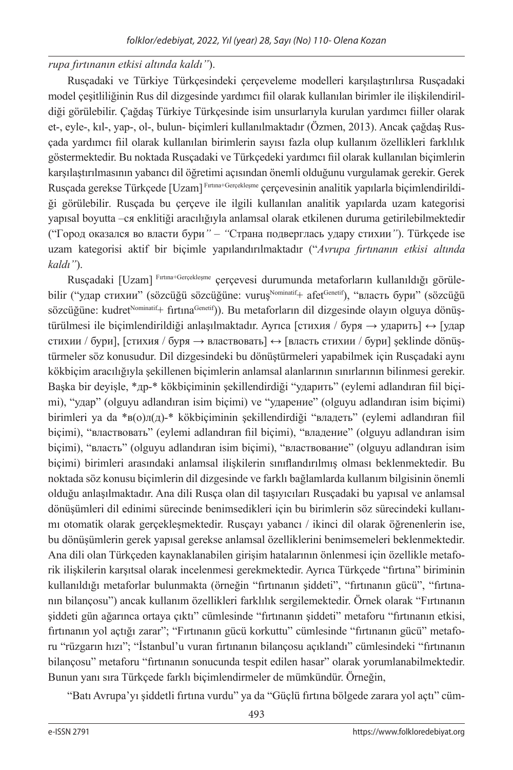## *rupa fırtınanın etkisi altında kaldı"*).

Rusçadaki ve Türkiye Türkçesindeki çerçeveleme modelleri karşılaştırılırsa Rusçadaki model çeşitliliğinin Rus dil dizgesinde yardımcı fiil olarak kullanılan birimler ile ilişkilendirildiği görülebilir. Çağdaş Türkiye Türkçesinde isim unsurlarıyla kurulan yardımcı fiiller olarak et-, eyle-, kıl-, yap-, ol-, bulun- biçimleri kullanılmaktadır (Özmen, 2013). Ancak çağdaş Rusçada yardımcı fiil olarak kullanılan birimlerin sayısı fazla olup kullanım özellikleri farklılık göstermektedir. Bu noktada Rusçadaki ve Türkçedeki yardımcı fiil olarak kullanılan biçimlerin karşılaştırılmasının yabancı dil öğretimi açısından önemli olduğunu vurgulamak gerekir. Gerek Rusçada gerekse Türkçede [Uzam] Fırtına+Gerçekleşme çerçevesinin analitik yapılarla biçimlendirildiği görülebilir. Rusçada bu çerçeve ile ilgili kullanılan analitik yapılarda uzam kategorisi yapısal boyutta –ся enklitiği aracılığıyla anlamsal olarak etkilenen duruma getirilebilmektedir ("Город оказался во власти бури*" – "*Страна подверглась удару стихии*"*). Türkçede ise uzam kategorisi aktif bir biçimle yapılandırılmaktadır ("*Avrupa fırtınanın etkisi altında kaldı"*).

Rusçadaki [Uzam] Fırtına+Gerçekleşme çerçevesi durumunda metaforların kullanıldığı görülebilir ("удар стихии" (sözcüğü sözcüğüne: vurus<sup>Nominatif</sup>+ afet<sup>Genetif</sup>), "власть бури" (sözcüğü sözcüğüne: kudret<sup>Nominatif</sup>+ fırtına<sup>Genetif</sup>)). Bu metaforların dil dizgesinde olayın olguya dönüstürülmesi ile biçimlendirildiği anlaşılmaktadır. Ayrıca [стихия / буря → ударить] ↔ [удар стихии / бури], [стихия / буря  $\rightarrow$  властвовать]  $\leftrightarrow$  [власть стихии / бури] seklinde dönüstürmeler söz konusudur. Dil dizgesindeki bu dönüştürmeleri yapabilmek için Rusçadaki aynı kökbiçim aracılığıyla şekillenen biçimlerin anlamsal alanlarının sınırlarının bilinmesi gerekir. Başka bir deyişle, \*др-\* kökbiçiminin şekillendirdiği "ударить" (eylemi adlandıran fiil biçimi), "удар" (olguyu adlandıran isim biçimi) ve "ударение" (olguyu adlandıran isim biçimi) birimleri ya da \*в(о)л(д)-\* kökbiçiminin şekillendirdiği "владеть" (eylemi adlandıran fiil biçimi), "властвовать" (eylemi adlandıran fiil biçimi), "владение" (olguyu adlandıran isim biçimi), "власть" (olguyu adlandıran isim biçimi), "властвование" (olguyu adlandıran isim biçimi) birimleri arasındaki anlamsal ilişkilerin sınıflandırılmış olması beklenmektedir. Bu noktada söz konusu biçimlerin dil dizgesinde ve farklı bağlamlarda kullanım bilgisinin önemli olduğu anlaşılmaktadır. Ana dili Rusça olan dil taşıyıcıları Rusçadaki bu yapısal ve anlamsal dönüşümleri dil edinimi sürecinde benimsedikleri için bu birimlerin söz sürecindeki kullanımı otomatik olarak gerçekleşmektedir. Rusçayı yabancı / ikinci dil olarak öğrenenlerin ise, bu dönüşümlerin gerek yapısal gerekse anlamsal özelliklerini benimsemeleri beklenmektedir. Ana dili olan Türkçeden kaynaklanabilen girişim hatalarının önlenmesi için özellikle metaforik ilişkilerin karşıtsal olarak incelenmesi gerekmektedir. Ayrıca Türkçede "fırtına" biriminin kullanıldığı metaforlar bulunmakta (örneğin "fırtınanın şiddeti", "fırtınanın gücü", "fırtınanın bilançosu") ancak kullanım özellikleri farklılık sergilemektedir. Örnek olarak "Fırtınanın şiddeti gün ağarınca ortaya çıktı" cümlesinde "fırtınanın şiddeti" metaforu "fırtınanın etkisi, fırtınanın yol açtığı zarar"; "Fırtınanın gücü korkuttu" cümlesinde "fırtınanın gücü" metaforu "rüzgarın hızı"; "İstanbul'u vuran fırtınanın bilançosu açıklandı" cümlesindeki "fırtınanın bilançosu" metaforu "fırtınanın sonucunda tespit edilen hasar" olarak yorumlanabilmektedir. Bunun yanı sıra Türkçede farklı biçimlendirmeler de mümkündür. Örneğin,

"Batı Avrupa'yı şiddetli fırtına vurdu" ya da "Güçlü fırtına bölgede zarara yol açtı" cüm-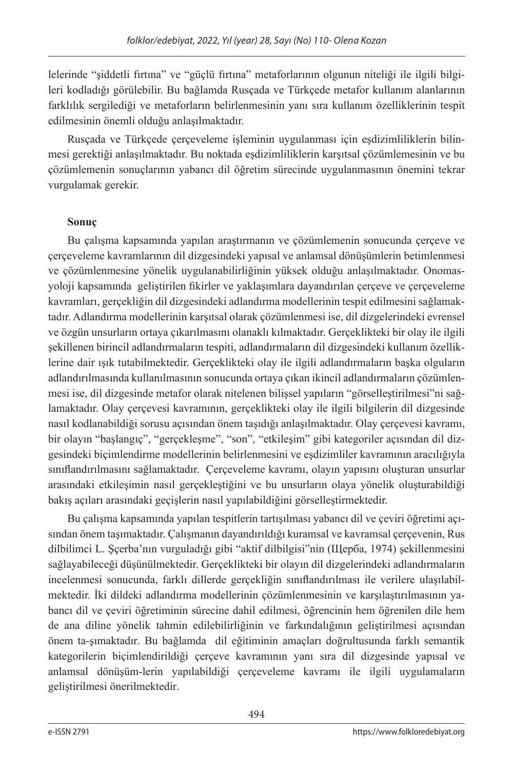lelerinde "şiddetli fırtına" ve "güçlü fırtına" metaforlarının olgunun niteliği ile ilgili bilgileri kodladığı görülebilir. Bu bağlamda Rusçada ve Türkçede metafor kullanım alanlarının farklılık sergilediği ve metaforların belirlenmesinin yanı sıra kullanım özelliklerinin tespit edilmesinin önemli olduğu anlaşılmaktadır.

Rusçada ve Türkçede çerçeveleme işleminin uygulanması için eşdizimliliklerin bilinmesi gerektiği anlaşılmaktadır. Bu noktada eşdizimliliklerin karşıtsal çözümlemesinin ve bu çözümlemenin sonuçlarının yabancı dil öğretim sürecinde uygulanmasının önemini tekrar vurgulamak gerekir.

## **Sonuç**

Bu çalışma kapsamında yapılan araştırmanın ve çözümlemenin sonucunda çerçeve ve çerçeveleme kavramlarının dil dizgesindeki yapısal ve anlamsal dönüşümlerin betimlenmesi ve çözümlenmesine yönelik uygulanabilirliğinin yüksek olduğu anlaşılmaktadır. Onomasyoloji kapsamında geliştirilen fikirler ve yaklaşımlara dayandırılan çerçeve ve çerçeveleme kavramları, gerçekliğin dil dizgesindeki adlandırma modellerinin tespit edilmesini sağlamaktadır. Adlandırma modellerinin karşıtsal olarak çözümlenmesi ise, dil dizgelerindeki evrensel ve özgün unsurların ortaya çıkarılmasını olanaklı kılmaktadır. Gerçeklikteki bir olay ile ilgili şekillenen birincil adlandırmaların tespiti, adlandırmaların dil dizgesindeki kullanım özelliklerine dair ışık tutabilmektedir. Gerçeklikteki olay ile ilgili adlandırmaların başka olguların adlandırılmasında kullanılmasının sonucunda ortaya çıkan ikincil adlandırmaların çözümlenmesi ise, dil dizgesinde metafor olarak nitelenen bilişsel yapıların "görselleştirilmesi"ni sağlamaktadır. Olay çerçevesi kavramının, gerçeklikteki olay ile ilgili bilgilerin dil dizgesinde nasıl kodlanabildiği sorusu açısından önem taşıdığı anlaşılmaktadır. Olay çerçevesi kavramı, bir olayın "başlangıç", "gerçekleşme", "son", "etkileşim" gibi kategoriler açısından dil dizgesindeki biçimlendirme modellerinin belirlenmesini ve eşdizimliler kavramının aracılığıyla sınıflandırılmasını sağlamaktadır. Çerçeveleme kavramı, olayın yapısını oluşturan unsurlar arasındaki etkileşimin nasıl gerçekleştiğini ve bu unsurların olaya yönelik oluşturabildiği bakış açıları arasındaki geçişlerin nasıl yapılabildiğini görselleştirmektedir.

Bu çalışma kapsamında yapılan tespitlerin tartışılması yabancı dil ve çeviri öğretimi açısından önem taşımaktadır. Çalışmanın dayandırıldığı kuramsal ve kavramsal çerçevenin, Rus dilbilimci L. Şçerba'nın vurguladığı gibi "aktif dilbilgisi"nin (Щерба, 1974) şekillenmesini sağlayabileceği düşünülmektedir. Gerçeklikteki bir olayın dil dizgelerindeki adlandırmaların incelenmesi sonucunda, farklı dillerde gerçekliğin sınıflandırılması ile verilere ulaşılabilmektedir. İki dildeki adlandırma modellerinin çözümlenmesinin ve karşılaştırılmasının yabancı dil ve çeviri öğretiminin sürecine dahil edilmesi, öğrencinin hem öğrenilen dile hem de ana diline yönelik tahmin edilebilirliğinin ve farkındalığının geliştirilmesi açısından önem ta-şımaktadır. Bu bağlamda dil eğitiminin amaçları doğrultusunda farklı semantik kategorilerin biçimlendirildiği çerçeve kavramının yanı sıra dil dizgesinde yapısal ve anlamsal dönüşüm-lerin yapılabildiği çerçeveleme kavramı ile ilgili uygulamaların geliştirilmesi önerilmektedir.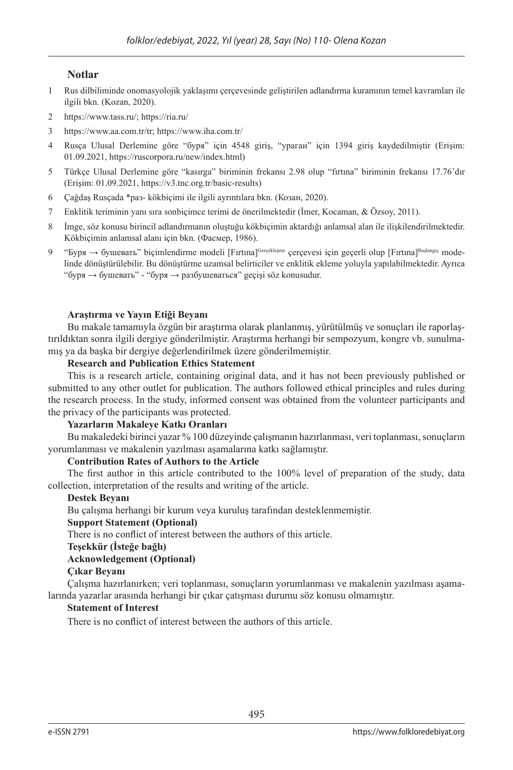#### **Notlar**

- 1 Rus dilbiliminde onomasyolojik yaklaşımı çerçevesinde geliştirilen adlandırma kuramının temel kavramları ile ilgili bkn. (Kozan, 2020).
- 2 https://www.tass.ru/; https://ria.ru/
- 3 https://www.aa.com.tr/tr; https://www.iha.com.tr/
- 4 Rusça Ulusal Derlemine göre "буря" için 4548 giriş, "ураган" için 1394 giriş kaydedilmiştir (Erişim: 01.09.2021, https://ruscorpora.ru/new/index.html)
- 5 Türkçe Ulusal Derlemine göre "kasırga" biriminin frekansı 2.98 olup "fırtına" biriminin frekansı 17.76'dır (Erişim: 01.09.2021, https://v3.tnc.org.tr/basic-results)
- 6 Çağdaş Rusçada \*раз- kökbiçimi ile ilgili ayrıntılara bkn. (Козан, 2020).
- 7 Enklitik teriminin yanı sıra sonbiçimce terimi de önerilmektedir (İmer, Kocaman, & Özsoy, 2011).
- 8 İmge, söz konusu birincil adlandırmanın oluştuğu kökbiçimin aktardığı anlamsal alan ile ilişkilendirilmektedir. Kökbiçimin anlamsal alanı için bkn. (Фасмер, 1986).
- 9 "Буря  $\rightarrow$  бушевать" bicimlendirme modeli [Fırtına]Gerçekleşme cercevesi için geçerli olup [Fırtına]Başlangıç modelinde dönüştürülebilir. Bu dönüştürme uzamsal belirticiler ve enklitik ekleme yoluyla yapılabilmektedir. Ayrıca "буря  $\rightarrow$  бушевать" - "буря  $\rightarrow$  разбушеваться" geçişi söz konusudur.

#### **Araştırma ve Yayın Etiği Beyanı**

Bu makale tamamıyla özgün bir araştırma olarak planlanmış, yürütülmüş ve sonuçları ile raporlaştırıldıktan sonra ilgili dergiye gönderilmiştir. Araştırma herhangi bir sempozyum, kongre vb. sunulmamış ya da başka bir dergiye değerlendirilmek üzere gönderilmemiştir.

#### **Research and Publication Ethics Statement**

This is a research article, containing original data, and it has not been previously published or submitted to any other outlet for publication. The authors followed ethical principles and rules during the research process. In the study, informed consent was obtained from the volunteer participants and the privacy of the participants was protected.

#### **Yazarların Makaleye Katkı Oranları**

Bu makaledeki birinci yazar % 100 düzeyinde çalışmanın hazırlanması, veri toplanması, sonuçların yorumlanması ve makalenin yazılması aşamalarına katkı sağlamıştır.

#### **Contribution Rates of Authors to the Article**

The first author in this article contributed to the 100% level of preparation of the study, data collection, interpretation of the results and writing of the article.

#### **Destek Beyanı**

Bu çalışma herhangi bir kurum veya kuruluş tarafından desteklenmemiştir.

#### **Support Statement (Optional)**

There is no conflict of interest between the authors of this article.

#### **Teşekkür (İsteğe bağlı)**

#### **Acknowledgement (Optional)**

#### **Çıkar Beyanı**

Çalışma hazırlanırken; veri toplanması, sonuçların yorumlanması ve makalenin yazılması aşamalarında yazarlar arasında herhangi bir çıkar çatışması durumu söz konusu olmamıştır.

#### **Statement of Interest**

There is no conflict of interest between the authors of this article.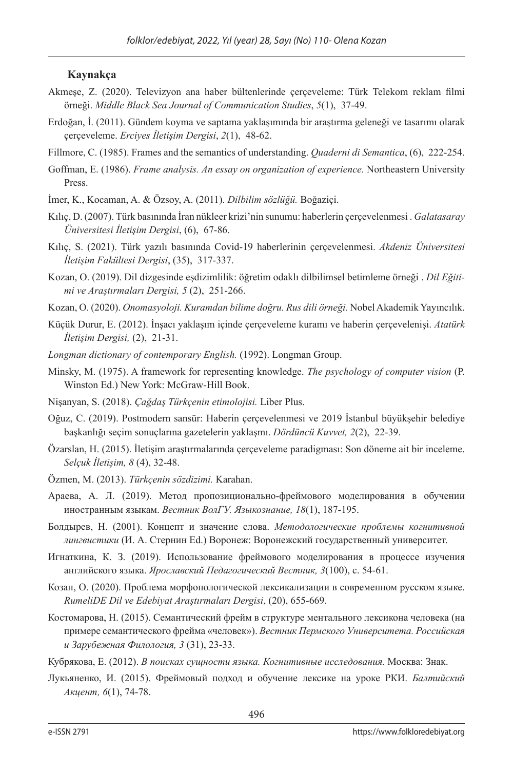#### **Kaynakça**

- Akmeşe, Z. (2020). Televizyon ana haber bültenlerinde çerçeveleme: Türk Telekom reklam filmi örneği. *Middle Black Sea Journal of Communication Studies*, *5*(1), 37-49.
- Erdoğan, İ. (2011). Gündem koyma ve saptama yaklaşımında bir araştırma geleneği ve tasarımı olarak çerçeveleme. *Erciyes İletişim Dergisi*, *2*(1), 48-62.
- Fillmore, C. (1985). Frames and the semantics of understanding. *Quaderni di Semantica*, (6), 222-254.
- Goffman, E. (1986). *Frame analysis. An essay on organization of experience.* Northeastern University Press.
- İmer, K., Kocaman, A. & Özsoy, A. (2011). *Dilbilim sözlüğü.* Boğaziçi.
- Kılıç, D. (2007). Türk basınında İran nükleer krizi'nin sunumu: haberlerin çerçevelenmesi . *Galatasaray Üniversitesi İletişim Dergisi*, (6), 67-86.
- Kılıç, S. (2021). Türk yazılı basınında Сovid-19 haberlerinin çerçevelenmesi. *Akdeniz Üniversitesi İletişim Fakültesi Dergisi*, (35), 317-337.
- Kozan, O. (2019). Dil dizgesinde eşdizimlilik: öğretim odaklı dilbilimsel betimleme örneği . *Dil Eğitimi ve Araştırmaları Dergisi, 5* (2), 251-266.
- Kozan, O. (2020). *Onomasyoloji. Kuramdan bilime doğru. Rus dili örneği.* Nobel Akademik Yayıncılık.
- Küçük Durur, E. (2012). İnşacı yaklaşım içinde çerçeveleme kuramı ve haberin çerçevelenişi. *Atatürk İletişim Dergisi,* (2), 21-31.
- *Longman dictionary of contemporary English.* (1992). Longman Group.
- Minsky, M. (1975). A framework for representing knowledge. *The psychology of computer vision* (P. Winston Ed.) New York: McGraw-Hill Book.
- Nişanyan, S. (2018). *Çağdaş Türkçenin etimolojisi.* Liber Plus.
- Oğuz, C. (2019). Postmodern sansür: Haberin çerçevelenmesi ve 2019 İstanbul büyükşehir belediye başkanlığı seçim sonuçlarına gazetelerin yaklaşmı. *Dördüncü Kuvvet, 2*(2), 22-39.
- Özarslan, H. (2015). İletişim araştırmalarında çerçeveleme paradigması: Son döneme ait bir inceleme. *Selçuk İletişim, 8* (4), 32-48.
- Özmen, M. (2013). *Türkçenin sözdizimi.* Karahan.
- Араева, А. Л. (2019). Метод пропозиционально-фреймового моделирования в обучении иностранным языкам. *Вестник ВолГУ. Языкознание, 18*(1), 187-195.
- Болдырев, Н. (2001). Концепт и значение слова. *Методологические проблемы когнитивной лингвистики* (И. А. Стернин Ed.) Воронеж: Воронежский государственный университет.
- Игнаткина, К. З. (2019). Использование фреймового моделирования в процессе изучения английского языка. *Ярославский Педагогический Вестник, 3*(100), с. 54-61.
- Козан, О. (2020). Проблема морфонологической лексикализации в современном русском языке. *RumeliDE Dil ve Edebiyat Araştırmaları Dergisi*, (20), 655-669.
- Костомарова, Н. (2015). Семантический фрейм в структуре ментального лексикона человека (на примере семантического фрейма «человек»). *Вестник Пермского Университета. Российская и Зарубежная Филология, 3* (31), 23-33.
- Кубрякова, Е. (2012). *В поисках сущности языка. Когнитивные исследования.* Москва: Знак.
- Лукьяненко, И. (2015). Фреймовый подход и обучение лексике на уроке РКИ. *Балтийский Акцент, 6*(1), 74-78.